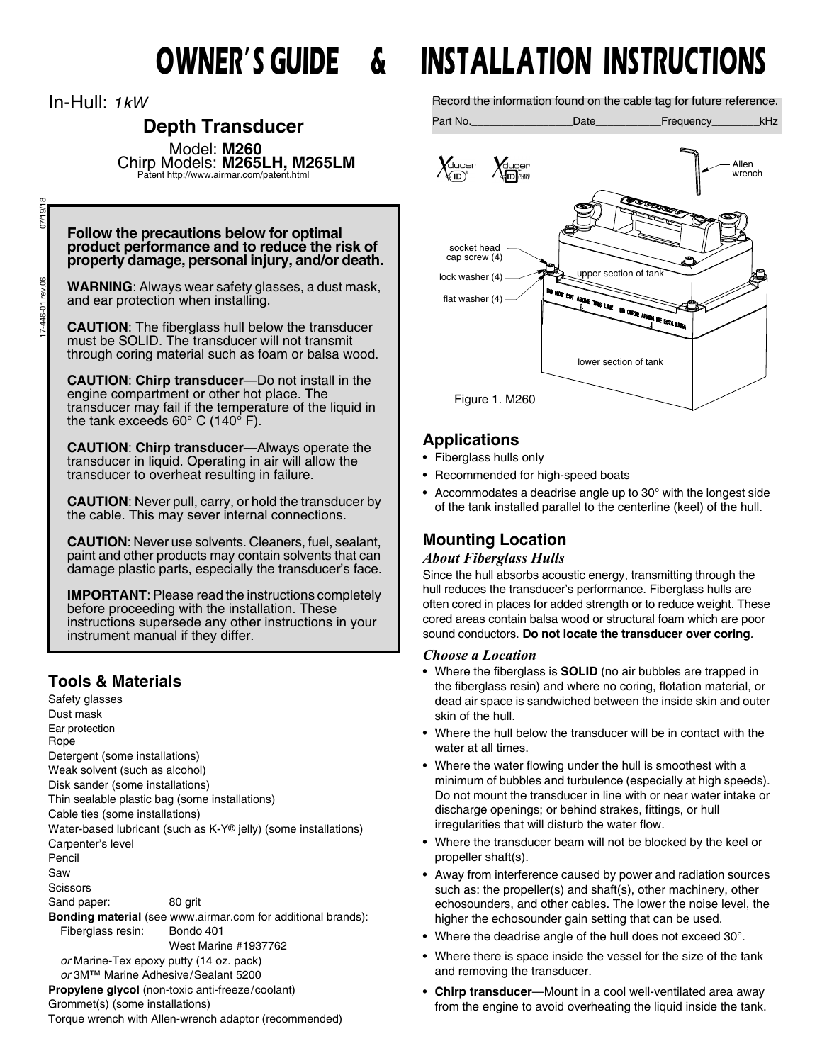In-Hull: *1kW*

# **Depth Transducer**

Model: **M260** Chirp Models: **M265LH, M265LM**

Patent http://www.airmar.com/patent.html

#### **Follow the precautions below for optimal product performance and to reduce the risk of property damage, personal injury, and/or death.**

**WARNING**: Always wear safety glasses, a dust mask, and ear protection when installing.

**CAUTION**: The fiberglass hull below the transducer must be SOLID. The transducer will not transmit through coring material such as foam or balsa wood.

**CAUTION**: **Chirp transducer**—Do not install in the engine compartment or other hot place. The transducer may fail if the temperature of the liquid in the tank exceeds  $60^{\circ}$  C (140 $^{\circ}$  F).

**CAUTION**: **Chirp transducer**—Always operate the transducer in liquid. Operating in air will allow the transducer to overheat resulting in failure.

**CAUTION**: Never pull, carry, or hold the transducer by the cable. This may sever internal connections.

**CAUTION**: Never use solvents. Cleaners, fuel, sealant, paint and other products may contain solvents that can damage plastic parts, especially the transducer's face.

**IMPORTANT**: Please read the instructions completely before proceeding with the installation. These instructions supersede any other instructions in your instrument manual if they differ.

# **Tools & Materials**

Safety glasses Dust mask Ear protection Rope Detergent (some installations) Weak solvent (such as alcohol) Disk sander (some installations) Thin sealable plastic bag (some installations) Cable ties (some installations) Water-based lubricant (such as K-Y® jelly) (some installations) Carpenter's level Pencil Saw **Scissors** Sand paper: 80 grit **Bonding material** (see www.airmar.com for additional brands): Fiberglass resin: Bondo 401 West Marine #1937762 *or* Marine-Tex epoxy putty (14 oz. pack) *or* 3M™ Marine Adhesive/Sealant 5200 **Propylene glycol** (non-toxic anti-freeze/coolant) Grommet(s) (some installations) Torque wrench with Allen-wrench adaptor (recommended)

# **OWNER'S GUIDE & INSTALLATION INSTRUCTIONS**

Record the information found on the cable tag for future reference.

Part No. **Example 20** Date **Contract Contract Contract Contract Contract Contract Contract Contract Contract Contract Contract Contract Contract Contract Contract Contract Contract Contract Contract Contract Contract Contr** 



# **Applications**

- Fiberglass hulls only
- Recommended for high-speed boats
- Accommodates a deadrise angle up to 30° with the longest side of the tank installed parallel to the centerline (keel) of the hull.

# **Mounting Location**

## *About Fiberglass Hulls*

Since the hull absorbs acoustic energy, transmitting through the hull reduces the transducer's performance. Fiberglass hulls are often cored in places for added strength or to reduce weight. These cored areas contain balsa wood or structural foam which are poor sound conductors. **Do not locate the transducer over coring***.*

#### *Choose a Location*

- Where the fiberglass is **SOLID** (no air bubbles are trapped in the fiberglass resin) and where no coring, flotation material, or dead air space is sandwiched between the inside skin and outer skin of the hull.
- Where the hull below the transducer will be in contact with the water at all times.
- Where the water flowing under the hull is smoothest with a minimum of bubbles and turbulence (especially at high speeds). Do not mount the transducer in line with or near water intake or discharge openings; or behind strakes, fittings, or hull irregularities that will disturb the water flow.
- Where the transducer beam will not be blocked by the keel or propeller shaft(s).
- Away from interference caused by power and radiation sources such as: the propeller(s) and shaft(s), other machinery, other echosounders, and other cables. The lower the noise level, the higher the echosounder gain setting that can be used.
- Where the deadrise angle of the hull does not exceed 30°.
- Where there is space inside the vessel for the size of the tank and removing the transducer.
- **Chirp transducer**—Mount in a cool well-ventilated area away from the engine to avoid overheating the liquid inside the tank.

07/19/18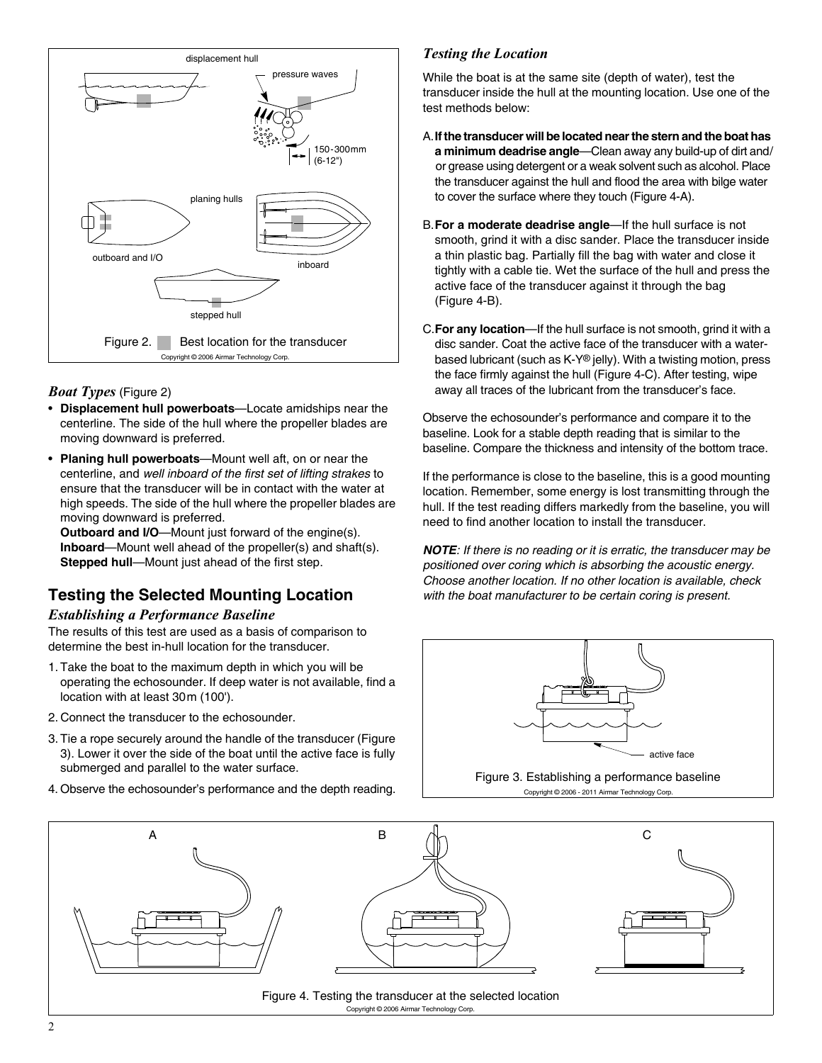

## *Boat Types* (Figure 2)

- **Displacement hull powerboats**—Locate amidships near the centerline. The side of the hull where the propeller blades are moving downward is preferred.
- **Planing hull powerboats**—Mount well aft, on or near the centerline, and *well inboard of the first set of lifting strakes* to ensure that the transducer will be in contact with the water at high speeds. The side of the hull where the propeller blades are moving downward is preferred.

**Outboard and I/O**—Mount just forward of the engine(s). **Inboard**—Mount well ahead of the propeller(s) and shaft(s). **Stepped hull**—Mount just ahead of the first step.

# **Testing the Selected Mounting Location**

#### *Establishing a Performance Baseline*

The results of this test are used as a basis of comparison to determine the best in-hull location for the transducer.

- 1. Take the boat to the maximum depth in which you will be operating the echosounder. If deep water is not available, find a location with at least 30m (100').
- 2. Connect the transducer to the echosounder.
- 3. Tie a rope securely around the handle of the transducer (Figure 3). Lower it over the side of the boat until the active face is fully submerged and parallel to the water surface.
- 4. Observe the echosounder's performance and the depth reading.

#### *Testing the Location*

While the boat is at the same site (depth of water), test the transducer inside the hull at the mounting location. Use one of the test methods below:

- A.**If the transducer will be located near the stern and the boat has a minimum deadrise angle**—Clean away any build-up of dirt and/ or grease using detergent or a weak solvent such as alcohol. Place the transducer against the hull and flood the area with bilge water to cover the surface where they touch (Figure 4-A).
- B.**For a moderate deadrise angle**—If the hull surface is not smooth, grind it with a disc sander. Place the transducer inside a thin plastic bag. Partially fill the bag with water and close it tightly with a cable tie. Wet the surface of the hull and press the active face of the transducer against it through the bag (Figure 4-B).
- C.**For any location**—If the hull surface is not smooth, grind it with a disc sander. Coat the active face of the transducer with a waterbased lubricant (such as K-Y® jelly). With a twisting motion, press the face firmly against the hull (Figure 4-C). After testing, wipe away all traces of the lubricant from the transducer's face.

Observe the echosounder's performance and compare it to the baseline. Look for a stable depth reading that is similar to the baseline. Compare the thickness and intensity of the bottom trace.

If the performance is close to the baseline, this is a good mounting location. Remember, some energy is lost transmitting through the hull. If the test reading differs markedly from the baseline, you will need to find another location to install the transducer.

*NOTE: If there is no reading or it is erratic, the transducer may be positioned over coring which is absorbing the acoustic energy. Choose another location. If no other location is available, check with the boat manufacturer to be certain coring is present.*



Figure 3. Establishing a performance baseline Copyright © 2006 - 2011 Airmar Technology Corp.

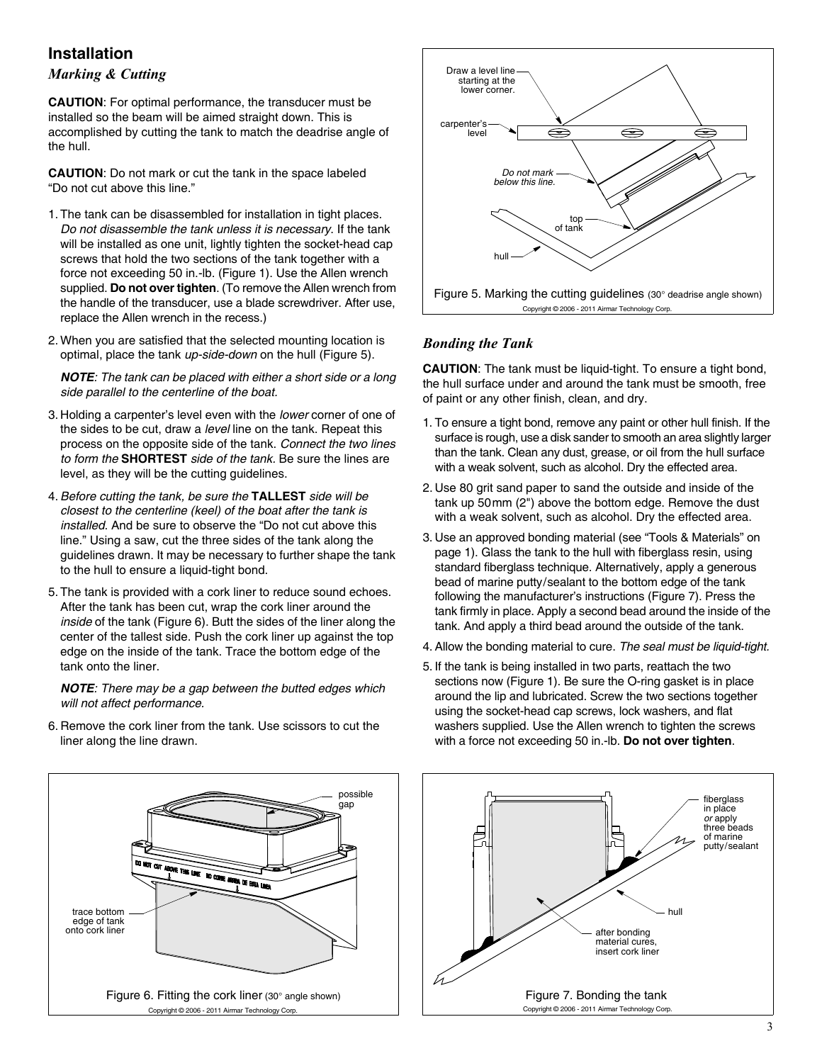# **Installation**

# *Marking & Cutting*

**CAUTION**: For optimal performance, the transducer must be installed so the beam will be aimed straight down. This is accomplished by cutting the tank to match the deadrise angle of the hull.

**CAUTION**: Do not mark or cut the tank in the space labeled "Do not cut above this line."

- 1. The tank can be disassembled for installation in tight places. *Do not disassemble the tank unless it is necessary*. If the tank will be installed as one unit, lightly tighten the socket-head cap screws that hold the two sections of the tank together with a force not exceeding 50 in.-lb. (Figure 1). Use the Allen wrench supplied. **Do not over tighten**. (To remove the Allen wrench from the handle of the transducer, use a blade screwdriver. After use, replace the Allen wrench in the recess.)
- 2. When you are satisfied that the selected mounting location is optimal, place the tank *up-side-down* on the hull (Figure 5).

*NOTE: The tank can be placed with either a short side or a long side parallel to the centerline of the boat.*

- 3. Holding a carpenter's level even with the *lower* corner of one of the sides to be cut, draw a *level* line on the tank. Repeat this process on the opposite side of the tank. *Connect the two lines to form the* **SHORTEST** *side of the tank.* Be sure the lines are level, as they will be the cutting guidelines.
- 4. *Before cutting the tank, be sure the* **TALLEST** *side will be closest to the centerline (keel) of the boat after the tank is installed*. And be sure to observe the "Do not cut above this line." Using a saw, cut the three sides of the tank along the guidelines drawn. It may be necessary to further shape the tank to the hull to ensure a liquid-tight bond.
- 5. The tank is provided with a cork liner to reduce sound echoes. After the tank has been cut, wrap the cork liner around the *inside* of the tank (Figure 6). Butt the sides of the liner along the center of the tallest side. Push the cork liner up against the top edge on the inside of the tank. Trace the bottom edge of the tank onto the liner.

*NOTE: There may be a gap between the butted edges which will not affect performance.*

6. Remove the cork liner from the tank. Use scissors to cut the liner along the line drawn.



#### *Bonding the Tank*

**CAUTION**: The tank must be liquid-tight. To ensure a tight bond, the hull surface under and around the tank must be smooth, free of paint or any other finish, clean, and dry.

- 1. To ensure a tight bond, remove any paint or other hull finish. If the surface is rough, use a disk sander to smooth an area slightly larger than the tank. Clean any dust, grease, or oil from the hull surface with a weak solvent, such as alcohol. Dry the effected area.
- 2. Use 80 grit sand paper to sand the outside and inside of the tank up 50mm (2") above the bottom edge. Remove the dust with a weak solvent, such as alcohol. Dry the effected area.
- 3. Use an approved bonding material (see "Tools & Materials" on page 1). Glass the tank to the hull with fiberglass resin, using standard fiberglass technique. Alternatively, apply a generous bead of marine putty/sealant to the bottom edge of the tank following the manufacturer's instructions (Figure 7). Press the tank firmly in place. Apply a second bead around the inside of the tank. And apply a third bead around the outside of the tank.
- 4. Allow the bonding material to cure. *The seal must be liquid-tight.*
- 5. If the tank is being installed in two parts, reattach the two sections now (Figure 1). Be sure the O-ring gasket is in place around the lip and lubricated. Screw the two sections together using the socket-head cap screws, lock washers, and flat washers supplied. Use the Allen wrench to tighten the screws with a force not exceeding 50 in.-lb. **Do not over tighten**.